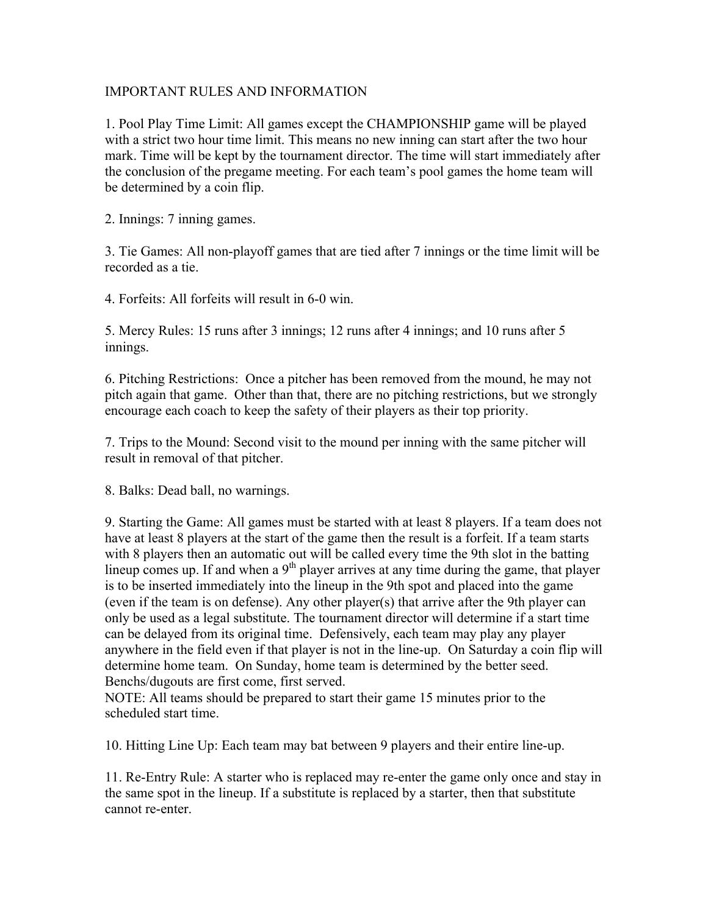## IMPORTANT RULES AND INFORMATION

1. Pool Play Time Limit: All games except the CHAMPIONSHIP game will be played with a strict two hour time limit. This means no new inning can start after the two hour mark. Time will be kept by the tournament director. The time will start immediately after the conclusion of the pregame meeting. For each team's pool games the home team will be determined by a coin flip.

2. Innings: 7 inning games.

3. Tie Games: All non-playoff games that are tied after 7 innings or the time limit will be recorded as a tie.

4. Forfeits: All forfeits will result in 6-0 win.

5. Mercy Rules: 15 runs after 3 innings; 12 runs after 4 innings; and 10 runs after 5 innings.

6. Pitching Restrictions: Once a pitcher has been removed from the mound, he may not pitch again that game. Other than that, there are no pitching restrictions, but we strongly encourage each coach to keep the safety of their players as their top priority.

7. Trips to the Mound: Second visit to the mound per inning with the same pitcher will result in removal of that pitcher.

8. Balks: Dead ball, no warnings.

9. Starting the Game: All games must be started with at least 8 players. If a team does not have at least 8 players at the start of the game then the result is a forfeit. If a team starts with 8 players then an automatic out will be called every time the 9th slot in the batting lineup comes up. If and when a  $9<sup>th</sup>$  player arrives at any time during the game, that player is to be inserted immediately into the lineup in the 9th spot and placed into the game (even if the team is on defense). Any other player(s) that arrive after the 9th player can only be used as a legal substitute. The tournament director will determine if a start time can be delayed from its original time. Defensively, each team may play any player anywhere in the field even if that player is not in the line-up. On Saturday a coin flip will determine home team. On Sunday, home team is determined by the better seed. Benchs/dugouts are first come, first served.

NOTE: All teams should be prepared to start their game 15 minutes prior to the scheduled start time.

10. Hitting Line Up: Each team may bat between 9 players and their entire line-up.

11. Re-Entry Rule: A starter who is replaced may re-enter the game only once and stay in the same spot in the lineup. If a substitute is replaced by a starter, then that substitute cannot re-enter.